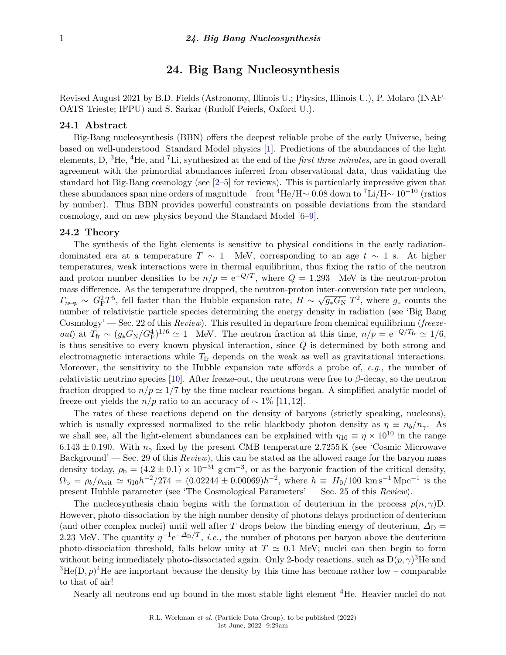# **24. Big Bang Nucleosynthesis**

Revised August 2021 by B.D. Fields (Astronomy, Illinois U.; Physics, Illinois U.), P. Molaro (INAF-OATS Trieste; IFPU) and S. Sarkar (Rudolf Peierls, Oxford U.).

#### **24.1 Abstract**

Big-Bang nucleosynthesis (BBN) offers the deepest reliable probe of the early Universe, being based on well-understood Standard Model physics [\[1\]](#page-10-0). Predictions of the abundances of the light elements, D, <sup>3</sup>He, <sup>4</sup>He, and <sup>7</sup>Li, synthesized at the end of the *first three minutes*, are in good overall agreement with the primordial abundances inferred from observational data, thus validating the standard hot Big-Bang cosmology (see [\[2–](#page-10-1)[5\]](#page-10-2) for reviews). This is particularly impressive given that these abundances span nine orders of magnitude – from  ${}^{4}\text{He/H}$ ~ 0.08 down to  ${}^{7}\text{Li/H}$ ~ 10<sup>-10</sup> (ratios by number). Thus BBN provides powerful constraints on possible deviations from the standard cosmology, and on new physics beyond the Standard Model [\[6–](#page-10-3)[9\]](#page-10-4).

# **24.2 Theory**

The synthesis of the light elements is sensitive to physical conditions in the early radiationdominated era at a temperature  $T \sim 1$  MeV, corresponding to an age  $t \sim 1$  s. At higher temperatures, weak interactions were in thermal equilibrium, thus fixing the ratio of the neutron and proton number densities to be  $n/p = e^{-Q/T}$ , where  $Q = 1.293$  MeV is the neutron-proton mass difference. As the temperature dropped, the neutron-proton inter-conversion rate per nucleon,  $\Gamma_{n \leftrightarrow p} \sim G_{\rm F}^2 T^5$ , fell faster than the Hubble expansion rate, *H* ∼ √  $\overline{g_*G_N}$   $T^2$ , where  $g_*$  counts the number of relativistic particle species determining the energy density in radiation (see 'Big Bang Cosmology' — Sec. 22 of this *Review*). This resulted in departure from chemical equilibrium (*freezeout*) at  $T_{\text{fr}} \sim (g_* G_{\text{N}}/G_{\text{F}}^4)^{1/6} \simeq 1$  MeV. The neutron fraction at this time,  $n/p = e^{-Q/T_{\text{fr}}}\simeq 1/6$ , is thus sensitive to every known physical interaction, since *Q* is determined by both strong and electromagnetic interactions while *T*fr depends on the weak as well as gravitational interactions. Moreover, the sensitivity to the Hubble expansion rate affords a probe of, *e.g.,* the number of relativistic neutrino species [\[10\]](#page-10-5). After freeze-out, the neutrons were free to *β*-decay, so the neutron fraction dropped to  $n/p \simeq 1/7$  by the time nuclear reactions began. A simplified analytic model of freeze-out yields the *n/p* ratio to an accuracy of  $\sim 1\%$  [\[11,](#page-10-6) [12\]](#page-10-7).

The rates of these reactions depend on the density of baryons (strictly speaking, nucleons), which is usually expressed normalized to the relic blackbody photon density as  $\eta \equiv n_b/n_{\gamma}$ . As we shall see, all the light-element abundances can be explained with  $\eta_{10} \equiv \eta \times 10^{10}$  in the range  $6.143 \pm 0.190$ . With  $n<sub>γ</sub>$  fixed by the present CMB temperature 2.7255 K (see 'Cosmic Microwave Background' — Sec. 29 of this *Review*), this can be stated as the allowed range for the baryon mass density today,  $\rho_{\rm b} = (4.2 \pm 0.1) \times 10^{-31}$  g cm<sup>-3</sup>, or as the baryonic fraction of the critical density,  $\Omega_{\rm b} = \rho_b / \rho_{\rm crit} \simeq \eta_{10} h^{-2} / 274 = (0.02244 \pm 0.00069) h^{-2}$ , where  $h \equiv H_0 / 100 \text{ km s}^{-1} \text{ Mpc}^{-1}$  is the present Hubble parameter (see 'The Cosmological Parameters' — Sec. 25 of this *Review*).

The nucleosynthesis chain begins with the formation of deuterium in the process  $p(n, \gamma)$ D. However, photo-dissociation by the high number density of photons delays production of deuterium (and other complex nuclei) until well after *T* drops below the binding energy of deuterium,  $\Delta_D =$ 2.23 MeV. The quantity  $\eta^{-1}e^{-\Delta_D/T}$ , *i.e.*, the number of photons per baryon above the deuterium photo-dissociation threshold, falls below unity at  $T \approx 0.1$  MeV; nuclei can then begin to form without being immediately photo-dissociated again. Only 2-body reactions, such as  $D(p, \gamma)^3$ He and  ${}^{3}\text{He}(\text{D}, p){}^{4}\text{He}$  are important because the density by this time has become rather low – comparable to that of air!

Nearly all neutrons end up bound in the most stable light element <sup>4</sup>He. Heavier nuclei do not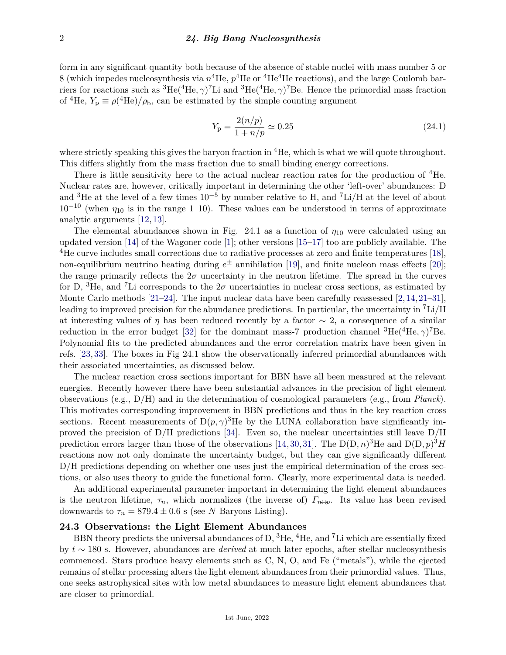form in any significant quantity both because of the absence of stable nuclei with mass number 5 or 8 (which impedes nucleosynthesis via  $n^4$ He,  $p^4$ He or  $^4$ He<sup>4</sup>He reactions), and the large Coulomb barriers for reactions such as  ${}^{3}He({}^{4}He,\gamma){}^{7}Li$  and  ${}^{3}He({}^{4}He,\gamma){}^{7}Be$ . Hence the primordial mass fraction of <sup>4</sup>He,  $Y_p \equiv \rho(^{4}He)/\rho_b$ , can be estimated by the simple counting argument

$$
Y_{\rm p} = \frac{2(n/p)}{1 + n/p} \simeq 0.25\tag{24.1}
$$

where strictly speaking this gives the baryon fraction in  ${}^{4}$ He, which is what we will quote throughout. This differs slightly from the mass fraction due to small binding energy corrections.

There is little sensitivity here to the actual nuclear reaction rates for the production of <sup>4</sup>He. Nuclear rates are, however, critically important in determining the other 'left-over' abundances: D and <sup>3</sup>He at the level of a few times  $10^{-5}$  by number relative to H, and <sup>7</sup>Li/H at the level of about  $10^{-10}$  (when  $\eta_{10}$  is in the range 1–10). These values can be understood in terms of approximate analytic arguments [\[12,](#page-10-7) [13\]](#page-10-8).

The elemental abundances shown in Fig. 24.1 as a function of  $\eta_{10}$  were calculated using an updated version [\[14\]](#page-10-9) of the Wagoner code [\[1\]](#page-10-0); other versions [\[15–](#page-10-10)[17\]](#page-10-11) too are publicly available. The <sup>4</sup>He curve includes small corrections due to radiative processes at zero and finite temperatures [\[18\]](#page-10-12), non-equilibrium neutrino heating during *e* <sup>±</sup> annihilation [\[19\]](#page-10-13), and finite nucleon mass effects [\[20\]](#page-10-14); the range primarily reflects the  $2\sigma$  uncertainty in the neutron lifetime. The spread in the curves for D, <sup>3</sup>He, and <sup>7</sup>Li corresponds to the  $2\sigma$  uncertainties in nuclear cross sections, as estimated by Monte Carlo methods [\[21](#page-10-15)[–24\]](#page-10-16). The input nuclear data have been carefully reassessed [\[2,](#page-10-1)[14,](#page-10-9)[21–](#page-10-15)[31\]](#page-10-17), leading to improved precision for the abundance predictions. In particular, the uncertainty in <sup>7</sup>Li/H at interesting values of *η* has been reduced recently by a factor  $\sim$  2, a consequence of a similar reduction in the error budget [\[32\]](#page-11-0) for the dominant mass-7 production channel  ${}^{3}$ He( ${}^{4}$ He,  $\gamma$ )<sup>7</sup>Be. Polynomial fits to the predicted abundances and the error correlation matrix have been given in refs. [\[23,](#page-10-18) [33\]](#page-11-1). The boxes in Fig 24.1 show the observationally inferred primordial abundances with their associated uncertainties, as discussed below.

The nuclear reaction cross sections important for BBN have all been measured at the relevant energies. Recently however there have been substantial advances in the precision of light element observations (e.g., D/H) and in the determination of cosmological parameters (e.g., from *Planck*). This motivates corresponding improvement in BBN predictions and thus in the key reaction cross sections. Recent measurements of  $D(p, \gamma)^3$  He by the LUNA collaboration have significantly improved the precision of  $D/H$  predictions [\[34\]](#page-11-2). Even so, the nuclear uncertainties still leave  $D/H$ prediction errors larger than those of the observations [\[14,](#page-10-9) [30,](#page-10-19) [31\]](#page-10-17). The  $D(D, n)^3$ He and  $D(D, p)^3$ *H* reactions now not only dominate the uncertainty budget, but they can give significantly different D/H predictions depending on whether one uses just the empirical determination of the cross sections, or also uses theory to guide the functional form. Clearly, more experimental data is needed.

An additional experimental parameter important in determining the light element abundances is the neutron lifetime,  $\tau_n$ , which normalizes (the inverse of)  $\Gamma_{n\leftrightarrow p}$ . Its value has been revised downwards to  $\tau_n = 879.4 \pm 0.6$  s (see *N* Baryons Listing).

### **24.3 Observations: the Light Element Abundances**

BBN theory predicts the universal abundances of D,  ${}^{3}$ He,  ${}^{4}$ He, and <sup>7</sup>Li which are essentially fixed by *t* ∼ 180 s. However, abundances are *derived* at much later epochs, after stellar nucleosynthesis commenced. Stars produce heavy elements such as C, N, O, and Fe ("metals"), while the ejected remains of stellar processing alters the light element abundances from their primordial values. Thus, one seeks astrophysical sites with low metal abundances to measure light element abundances that are closer to primordial.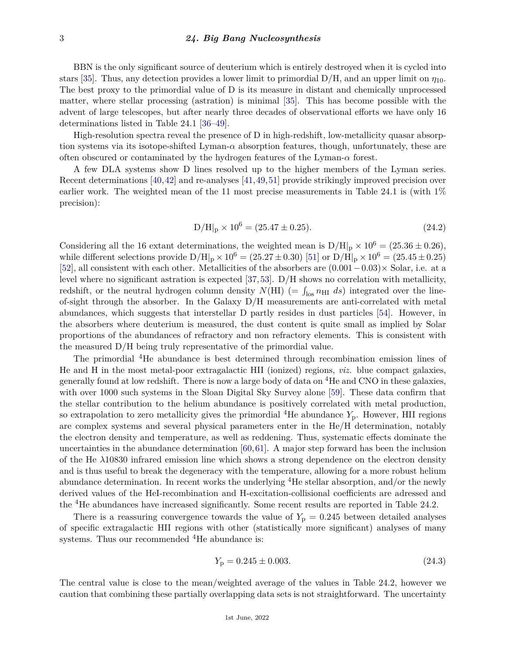BBN is the only significant source of deuterium which is entirely destroyed when it is cycled into stars [\[35\]](#page-11-3). Thus, any detection provides a lower limit to primordial  $D/H$ , and an upper limit on  $\eta_{10}$ . The best proxy to the primordial value of D is its measure in distant and chemically unprocessed matter, where stellar processing (astration) is minimal [\[35\]](#page-11-3). This has become possible with the advent of large telescopes, but after nearly three decades of observational efforts we have only 16 determinations listed in Table 24.1 [\[36](#page-11-4)[–49\]](#page-11-5).

High-resolution spectra reveal the presence of D in high-redshift, low-metallicity quasar absorption systems via its isotope-shifted Lyman- $\alpha$  absorption features, though, unfortunately, these are often obscured or contaminated by the hydrogen features of the Lyman- $\alpha$  forest.

A few DLA systems show D lines resolved up to the higher members of the Lyman series. Recent determinations [\[40,](#page-11-6)[42\]](#page-11-7) and re-analyses [\[41,](#page-11-8)[49,](#page-11-5)[51\]](#page-11-9) provide strikingly improved precision over earlier work. The weighted mean of the 11 most precise measurements in Table 24.1 is (with 1% precision):

$$
D/H|_{p} \times 10^{6} = (25.47 \pm 0.25). \tag{24.2}
$$

Considering all the 16 extant determinations, the weighted mean is  $D/H|_p \times 10^6 = (25.36 \pm 0.26)$ , while different selections provide  $D/H|_p \times 10^6 = (25.27 \pm 0.30)$  [\[51\]](#page-11-9) or  $D/H|_p \times 10^6 = (25.45 \pm 0.25)$ [\[52\]](#page-11-10), all consistent with each other. Metallicities of the absorbers are (0*.*001−0*.*03)× Solar, i.e. at a level where no significant astration is expected [\[37,](#page-11-11)[53\]](#page-11-12). D/H shows no correlation with metallicity, redshift, or the neutral hydrogen column density  $N(HI)$  (=  $\int_{\text{los}} n_{\text{HI}} ds$ ) integrated over the lineof-sight through the absorber. In the Galaxy D/H measurements are anti-correlated with metal abundances, which suggests that interstellar D partly resides in dust particles [\[54\]](#page-11-13). However, in the absorbers where deuterium is measured, the dust content is quite small as implied by Solar proportions of the abundances of refractory and non refractory elements. This is consistent with the measured D/H being truly representative of the primordial value.

The primordial <sup>4</sup>He abundance is best determined through recombination emission lines of He and H in the most metal-poor extragalactic HII (ionized) regions, *viz.* blue compact galaxies, generally found at low redshift. There is now a large body of data on  ${}^{4}$ He and CNO in these galaxies. with over 1000 such systems in the Sloan Digital Sky Survey alone [\[59\]](#page-11-14). These data confirm that the stellar contribution to the helium abundance is positively correlated with metal production, so extrapolation to zero metallicity gives the primordial <sup>4</sup>He abundance  $Y_p$ . However, HII regions are complex systems and several physical parameters enter in the He/H determination, notably the electron density and temperature, as well as reddening. Thus, systematic effects dominate the uncertainties in the abundance determination [\[60,](#page-11-15)[61\]](#page-11-16). A major step forward has been the inclusion of the He *λ*10830 infrared emission line which shows a strong dependence on the electron density and is thus useful to break the degeneracy with the temperature, allowing for a more robust helium abundance determination. In recent works the underlying <sup>4</sup>He stellar absorption, and/or the newly derived values of the HeI-recombination and H-excitation-collisional coefficients are adressed and the <sup>4</sup>He abundances have increased significantly. Some recent results are reported in Table 24.2.

There is a reassuring convergence towards the value of  $Y_p = 0.245$  between detailed analyses of specific extragalactic HII regions with other (statistically more significant) analyses of many systems. Thus our recommended <sup>4</sup>He abundance is:

$$
Y_{\rm p} = 0.245 \pm 0.003. \tag{24.3}
$$

The central value is close to the mean/weighted average of the values in Table 24.2, however we caution that combining these partially overlapping data sets is not straightforward. The uncertainty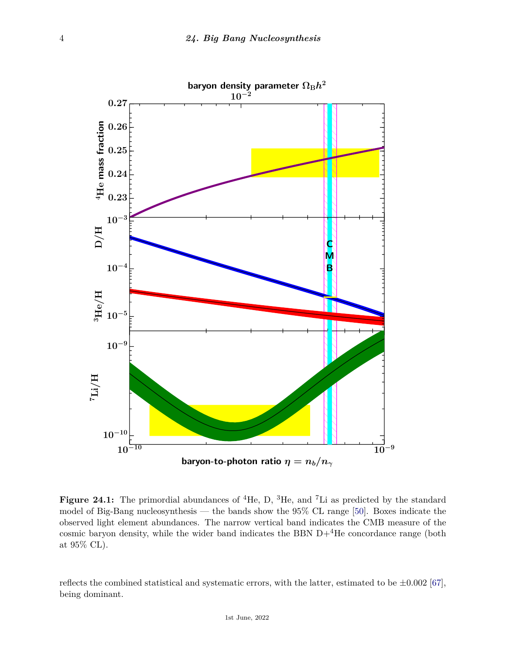

Figure 24.1: The primordial abundances of <sup>4</sup>He, D, <sup>3</sup>He, and <sup>7</sup>Li as predicted by the standard model of Big-Bang nucleosynthesis — the bands show the 95% CL range [\[50\]](#page-11-17). Boxes indicate the observed light element abundances. The narrow vertical band indicates the CMB measure of the cosmic baryon density, while the wider band indicates the BBN  $D+<sup>4</sup>$ He concordance range (both at 95% CL).

reflects the combined statistical and systematic errors, with the latter, estimated to be  $\pm 0.002$  [\[67\]](#page-12-0), being dominant.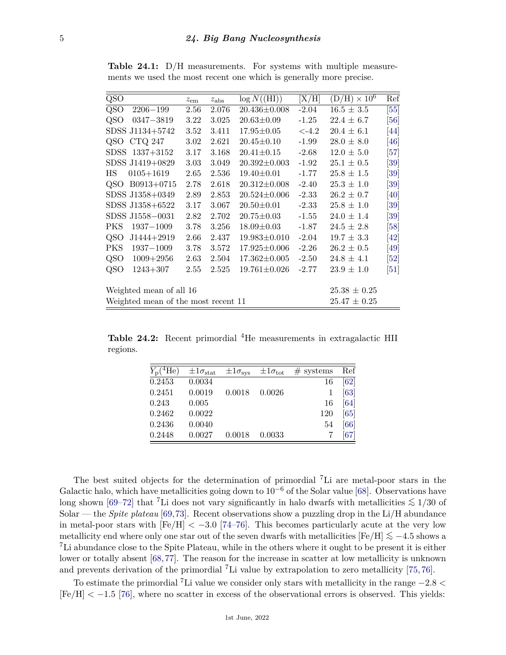| QSO   |                                     | $z_{\rm em}$     | $z_{\rm abs}$ | $\log N({\rm (HI)})$ | [X/H]    | $(D/H) \times 10^6$ | Ref                           |
|-------|-------------------------------------|------------------|---------------|----------------------|----------|---------------------|-------------------------------|
| QSO   | $2206 - 199$                        | 2.56             | 2.076         | $20.436 \pm 0.008$   | $-2.04$  | $16.5 \pm 3.5$      | [55]                          |
| QSO   | $0347 - 3819$                       | 3.22             | 3.025         | $20.63 \pm 0.09$     | $-1.25$  | $22.4 \pm 6.7$      | [56]                          |
|       | SDSS J1134+5742                     | 3.52             | 3.411         | $17.95 \pm 0.05$     | $< -4.2$ | $20.4 \pm 6.1$      | [44]                          |
| QSO   | <b>CTQ 247</b>                      | 3.02             | 2.621         | $20.45 \pm 0.10$     | $-1.99$  | $28.0 \pm 8.0$      | $\left[46\right]$             |
| SDSS. | $1337 + 3152$                       | 3.17             | 3.168         | $20.41 \pm 0.15$     | $-2.68$  | $12.0 \pm 5.0$      | [57]                          |
|       | SDSS J1419+0829                     | 3.03             | 3.049         | $20.392 \pm 0.003$   | $-1.92$  | $25.1 \pm 0.5$      | $\left[ 39\right]$            |
| ΗS    | $0105 + 1619$                       | 2.65             | 2.536         | $19.40 \pm 0.01$     | $-1.77$  | $25.8 \pm 1.5$      | $\left[ 39\right]$            |
| QSO   | B0913+0715                          | 2.78             | 2.618         | $20.312 \pm 0.008$   | $-2.40$  | $25.3 \pm 1.0$      | $\left[ 39\right]$            |
|       | SDSS J1358+0349                     | 2.89             | 2.853         | $20.524 \pm 0.006$   | $-2.33$  | $26.2 \pm 0.7$      | [40]                          |
|       | SDSS J1358+6522                     | 3.17             | 3.067         | $20.50 \pm 0.01$     | $-2.33$  | $25.8 \pm 1.0$      | $\left[ 39\right]$            |
|       | SDSS J1558-0031                     | 2.82             | 2.702         | $20.75 \pm 0.03$     | $-1.55$  | $24.0 \pm 1.4$      | $\left[ 39\right]$            |
| PKS   | $1937 - 1009$                       | 3.78             | 3.256         | $18.09 \pm 0.03$     | $-1.87$  | $24.5 \pm 2.8$      | [58]                          |
| QSO   | $J1444+2919$                        | 2.66             | 2.437         | $19.983 \pm 0.010$   | $-2.04$  | $19.7 \pm 3.3$      | $\left[42\right]$             |
| PKS   | $1937 - 1009$                       | 3.78             | 3.572         | $17.925 \pm 0.006$   | $-2.26$  | $26.2 \pm 0.5$      | $\left[49\right]$             |
| QSO   | $1009 + 2956$                       | 2.63             | 2.504         | $17.362 \pm 0.005$   | $-2.50$  | $24.8 \pm 4.1$      | [52]                          |
| QSO   | $1243 + 307$                        | 2.55             | 2.525         | $19.761 \pm 0.026$   | $-2.77$  | $23.9 \pm 1.0$      | $\left\lceil 51 \right\rceil$ |
|       |                                     |                  |               |                      |          |                     |                               |
|       | Weighted mean of all 16             | $25.38 \pm 0.25$ |               |                      |          |                     |                               |
|       | Weighted mean of the most recent 11 | $25.47 \pm 0.25$ |               |                      |          |                     |                               |
|       |                                     |                  |               |                      |          |                     |                               |

**Table 24.1:** D*/*H measurements. For systems with multiple measurements we used the most recent one which is generally more precise.

**Table 24.2:** Recent primordial <sup>4</sup>He measurements in extragalactic HII regions.

| $Y_{\rm p}({}^4\text{He})$ | $\pm1\sigma_{\rm stat}$ | $\pm1\sigma_{\rm sys}$ | $\pm1\sigma_{\rm tot}$ | $#$ systems | Ref                |
|----------------------------|-------------------------|------------------------|------------------------|-------------|--------------------|
| 0.2453                     | 0.0034                  |                        |                        | 16          | [62]               |
| 0.2451                     | 0.0019                  | 0.0018                 | 0.0026                 |             | [63]               |
| 0.243                      | 0.005                   |                        |                        | 16          | [64]               |
| 0.2462                     | 0.0022                  |                        |                        | 120         | [65]               |
| 0.2436                     | 0.0040                  |                        |                        | 54          | [66]               |
| 0.2448                     | 0.0027                  | 0.0018                 | 0.0033                 |             | $\left[ 67\right]$ |
|                            |                         |                        |                        |             |                    |

The best suited objects for the determination of primordial <sup>7</sup>Li are metal-poor stars in the Galactic halo, which have metallicities going down to  $10^{-6}$  of the Solar value [\[68\]](#page-12-2). Observations have long shown [\[69](#page-12-3)[–72\]](#page-12-4) that <sup>7</sup>Li does not vary significantly in halo dwarfs with metallicities *<*∼ 1*/*30 of Solar — the *Spite plateau* [\[69,](#page-12-3)[73\]](#page-12-5). Recent observations show a puzzling drop in the Li/H abundance in metal-poor stars with  $[Fe/H] < -3.0$  [\[74–](#page-12-6)[76\]](#page-12-7). This becomes particularly acute at the very low metallicity end where only one star out of the seven dwarfs with metallicities [Fe*/*H] *<*∼ −4*.*5 shows a <sup>7</sup>Li abundance close to the Spite Plateau, while in the others where it ought to be present it is either lower or totally absent [\[68,](#page-12-2)[77\]](#page-12-8). The reason for the increase in scatter at low metallicity is unknown and prevents derivation of the primordial <sup>7</sup>Li value by extrapolation to zero metallicity [\[75,](#page-12-9) [76\]](#page-12-7).

To estimate the primordial <sup>7</sup>Li value we consider only stars with metallicity in the range −2*.*8 *<* [Fe*/*H] *<* −1*.*5 [\[76\]](#page-12-7), where no scatter in excess of the observational errors is observed. This yields: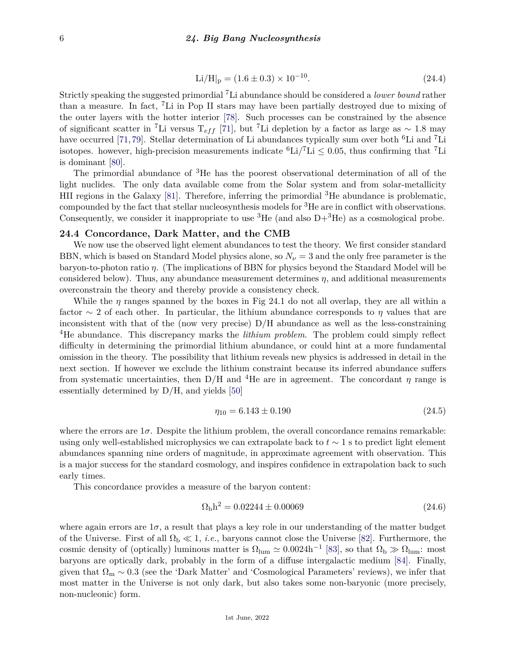$$
\text{Li/H}|_{\text{p}} = (1.6 \pm 0.3) \times 10^{-10}.
$$
 (24.4)

Strictly speaking the suggested primordial <sup>7</sup>Li abundance should be considered a *lower bound* rather than a measure. In fact, <sup>7</sup>Li in Pop II stars may have been partially destroyed due to mixing of the outer layers with the hotter interior [\[78\]](#page-12-10). Such processes can be constrained by the absence of significant scatter in <sup>7</sup>Li versus T*ef f* [\[71\]](#page-12-11), but <sup>7</sup>Li depletion by a factor as large as ∼ 1*.*8 may have occurred [\[71,](#page-12-11)[79\]](#page-12-12). Stellar determination of Li abundances typically sum over both <sup>6</sup>Li and <sup>7</sup>Li isotopes. however, high-precision measurements indicate  ${}^{6}Li/{}^{7}Li \leq 0.05$ , thus confirming that <sup>7</sup>Li is dominant [\[80\]](#page-12-13).

The primordial abundance of <sup>3</sup>He has the poorest observational determination of all of the light nuclides. The only data available come from the Solar system and from solar-metallicity HII regions in the Galaxy  $[81]$ . Therefore, inferring the primordial <sup>3</sup>He abundance is problematic, compounded by the fact that stellar nucleosynthesis models for <sup>3</sup>He are in conflict with observations. Consequently, we consider it inappropriate to use  ${}^{3}$ He (and also D+ ${}^{3}$ He) as a cosmological probe.

# **24.4 Concordance, Dark Matter, and the CMB**

We now use the observed light element abundances to test the theory. We first consider standard BBN, which is based on Standard Model physics alone, so  $N_{\nu} = 3$  and the only free parameter is the baryon-to-photon ratio *η*. (The implications of BBN for physics beyond the Standard Model will be considered below). Thus, any abundance measurement determines *η*, and additional measurements overconstrain the theory and thereby provide a consistency check.

While the  $\eta$  ranges spanned by the boxes in Fig 24.1 do not all overlap, they are all within a factor  $\sim$  2 of each other. In particular, the lithium abundance corresponds to  $\eta$  values that are inconsistent with that of the (now very precise)  $D/H$  abundance as well as the less-constraining <sup>4</sup>He abundance. This discrepancy marks the *lithium problem*. The problem could simply reflect difficulty in determining the primordial lithium abundance, or could hint at a more fundamental omission in the theory. The possibility that lithium reveals new physics is addressed in detail in the next section. If however we exclude the lithium constraint because its inferred abundance suffers from systematic uncertainties, then  $D/H$  and <sup>4</sup>He are in agreement. The concordant *η* range is essentially determined by D/H, and yields [\[50\]](#page-11-17)

$$
\eta_{10} = 6.143 \pm 0.190 \tag{24.5}
$$

where the errors are  $1\sigma$ . Despite the lithium problem, the overall concordance remains remarkable: using only well-established microphysics we can extrapolate back to *t* ∼ 1 s to predict light element abundances spanning nine orders of magnitude, in approximate agreement with observation. This is a major success for the standard cosmology, and inspires confidence in extrapolation back to such early times.

This concordance provides a measure of the baryon content:

$$
\Omega_{\rm b}h^2 = 0.02244 \pm 0.00069\tag{24.6}
$$

where again errors are  $1\sigma$ , a result that plays a key role in our understanding of the matter budget of the Universe. First of all  $\Omega_b \ll 1$ , *i.e.*, baryons cannot close the Universe [\[82\]](#page-12-15). Furthermore, the cosmic density of (optically) luminous matter is  $\Omega_{\text{lum}} \simeq 0.0024 \text{h}^{-1}$  [\[83\]](#page-12-16), so that  $\Omega_{\text{b}} \gg \Omega_{\text{lum}}$ : most baryons are optically dark, probably in the form of a diffuse intergalactic medium [\[84\]](#page-12-17). Finally, given that  $\Omega_m \sim 0.3$  (see the 'Dark Matter' and 'Cosmological Parameters' reviews), we infer that most matter in the Universe is not only dark, but also takes some non-baryonic (more precisely, non-nucleonic) form.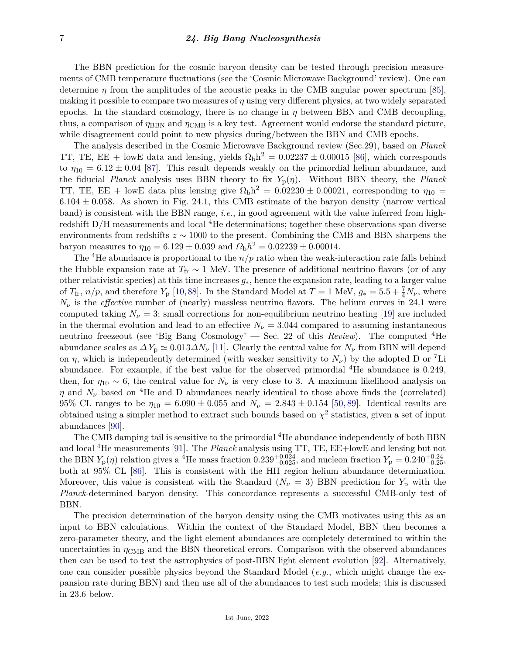The BBN prediction for the cosmic baryon density can be tested through precision measurements of CMB temperature fluctuations (see the 'Cosmic Microwave Background' review). One can determine  $\eta$  from the amplitudes of the acoustic peaks in the CMB angular power spectrum [\[85\]](#page-12-18), making it possible to compare two measures of *η* using very different physics, at two widely separated epochs. In the standard cosmology, there is no change in  $\eta$  between BBN and CMB decoupling, thus, a comparison of  $\eta_{\rm BBN}$  and  $\eta_{\rm CMB}$  is a key test. Agreement would endorse the standard picture, while disagreement could point to new physics during/between the BBN and CMB epochs.

The analysis described in the Cosmic Microwave Background review (Sec.29), based on *Planck* TT, TE, EE + lowE data and lensing, yields  $\Omega_{\rm b}h^2 = 0.02237 \pm 0.00015$  [\[86\]](#page-12-19), which corresponds to  $\eta_{10} = 6.12 \pm 0.04$  [\[87\]](#page-12-20). This result depends weakly on the primordial helium abundance, and the fiducial *Planck* analysis uses BBN theory to fix *Y*p(*η*). Without BBN theory, the *Planck* TT, TE, EE + lowE data plus lensing give  $\Omega_b h^2 = 0.02230 \pm 0.00021$ , corresponding to  $\eta_{10} =$  $6.104 \pm 0.058$ . As shown in Fig. 24.1, this CMB estimate of the baryon density (narrow vertical band) is consistent with the BBN range, *i.e.*, in good agreement with the value inferred from highredshift  $D/H$  measurements and local  ${}^{4}$ He determinations; together these observations span diverse environments from redshifts *z* ∼ 1000 to the present. Combining the CMB and BBN sharpens the baryon measures to  $\eta_{10} = 6.129 \pm 0.039$  and  $\Omega_{\rm b}h^2 = 0.02239 \pm 0.00014$ .

The <sup>4</sup>He abundance is proportional to the  $n/p$  ratio when the weak-interaction rate falls behind the Hubble expansion rate at  $T_f \sim 1$  MeV. The presence of additional neutrino flavors (or of any other relativistic species) at this time increases *g*∗, hence the expansion rate, leading to a larger value of  $T_{\text{fr}}$ ,  $n/p$ , and therefore  $Y_{\text{p}}$  [\[10,](#page-10-5)[88\]](#page-12-21). In the Standard Model at  $T = 1$  MeV,  $g_* = 5.5 + \frac{7}{4}N_{\nu}$ , where  $N_{\nu}$  is the *effective* number of (nearly) massless neutrino flavors. The helium curves in 24.1 were computed taking  $N_{\nu} = 3$ ; small corrections for non-equilibrium neutrino heating [\[19\]](#page-10-13) are included in the thermal evolution and lead to an effective  $N_{\nu} = 3.044$  compared to assuming instantaneous neutrino freezeout (see 'Big Bang Cosmology' — Sec. 22 of this *Review*). The computed <sup>4</sup>He abundance scales as  $\Delta Y_p \simeq 0.013 \Delta N_\nu$  [\[11\]](#page-10-6). Clearly the central value for  $N_\nu$  from BBN will depend on  $\eta$ , which is independently determined (with weaker sensitivity to  $N_{\nu}$ ) by the adopted D or <sup>7</sup>Li abundance. For example, if the best value for the observed primordial <sup>4</sup>He abundance is 0.249, then, for  $\eta_{10} \sim 6$ , the central value for  $N_{\nu}$  is very close to 3. A maximum likelihood analysis on *η* and  $N_\nu$  based on <sup>4</sup>He and D abundances nearly identical to those above finds the (correlated) 95% CL ranges to be  $\eta_{10} = 6.090 \pm 0.055$  and  $N_{\nu} = 2.843 \pm 0.154$  [\[50,](#page-11-17) [89\]](#page-12-22). Identical results are obtained using a simpler method to extract such bounds based on  $\chi^2$  statistics, given a set of input abundances [\[90\]](#page-12-23).

The CMB damping tail is sensitive to the primordial <sup>4</sup>He abundance independently of both BBN and local <sup>4</sup>He measurements [\[91\]](#page-12-24). The *Planck* analysis using TT, TE, EE+lowE and lensing but not the BBN  $Y_p(\eta)$  relation gives a <sup>4</sup>He mass fraction 0*.*239<sup>+0.024</sup>, and nucleon fraction  $Y_p = 0.240^{+0.24}_{-0.25}$ , both at 95% CL [\[86\]](#page-12-19). This is consistent with the HII region helium abundance determination. Moreover, this value is consistent with the Standard  $(N_{\nu} = 3)$  BBN prediction for  $Y_p$  with the *Planck*-determined baryon density. This concordance represents a successful CMB-only test of BBN.

The precision determination of the baryon density using the CMB motivates using this as an input to BBN calculations. Within the context of the Standard Model, BBN then becomes a zero-parameter theory, and the light element abundances are completely determined to within the uncertainties in  $\eta_{\rm CMB}$  and the BBN theoretical errors. Comparison with the observed abundances then can be used to test the astrophysics of post-BBN light element evolution [\[92\]](#page-12-25). Alternatively, one can consider possible physics beyond the Standard Model (*e.g.*, which might change the expansion rate during BBN) and then use all of the abundances to test such models; this is discussed in 23.6 below.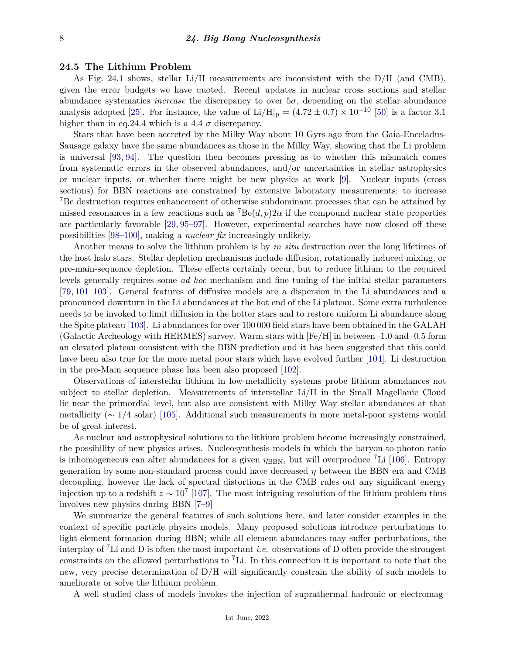#### **24.5 The Lithium Problem**

As Fig. 24.1 shows, stellar Li/H measurements are inconsistent with the  $D/H$  (and CMB), given the error budgets we have quoted. Recent updates in nuclear cross sections and stellar abundance systematics *increase* the discrepancy to over  $5\sigma$ , depending on the stellar abundance analysis adopted [\[25\]](#page-10-20). For instance, the value of  $Li/H|_p = (4.72 \pm 0.7) \times 10^{-10}$  [\[50\]](#page-11-17) is a factor 3.1 higher than in eq.24.4 which is a 4.4  $\sigma$  discrepancy.

Stars that have been accreted by the Milky Way about 10 Gyrs ago from the Gaia-Enceladus-Sausage galaxy have the same abundances as those in the Milky Way, showing that the Li problem is universal [\[93,](#page-12-26) [94\]](#page-12-27). The question then becomes pressing as to whether this mismatch comes from systematic errors in the observed abundances, and/or uncertainties in stellar astrophysics or nuclear inputs, or whether there might be new physics at work [\[9\]](#page-10-4). Nuclear inputs (cross sections) for BBN reactions are constrained by extensive laboratory measurements; to increase <sup>7</sup>Be destruction requires enhancement of otherwise subdominant processes that can be attained by missed resonances in a few reactions such as  $^7Be(d, p)2\alpha$  if the compound nuclear state properties are particularly favorable [\[29,](#page-10-21) [95–](#page-12-28)[97\]](#page-12-29). However, experimental searches have now closed off these possibilities [\[98–](#page-12-30)[100\]](#page-12-31), making a *nuclear fix* increasingly unlikely.

Another means to solve the lithium problem is by *in situ* destruction over the long lifetimes of the host halo stars. Stellar depletion mechanisms include diffusion, rotationally induced mixing, or pre-main-sequence depletion. These effects certainly occur, but to reduce lithium to the required levels generally requires some *ad hoc* mechanism and fine tuning of the initial stellar parameters [\[79,](#page-12-12) [101](#page-13-0)[–103\]](#page-13-1). General features of diffusive models are a dispersion in the Li abundances and a pronounced downturn in the Li abundances at the hot end of the Li plateau. Some extra turbulence needs to be invoked to limit diffusion in the hotter stars and to restore uniform Li abundance along the Spite plateau [\[103\]](#page-13-1). Li abundances for over 100 000 field stars have been obtained in the GALAH (Galactic Archeology with HERMES) survey. Warm stars with [Fe/H] in between -1.0 and -0.5 form an elevated plateau consistent with the BBN prediction and it has been suggested that this could have been also true for the more metal poor stars which have evolved further [\[104\]](#page-13-2). Li destruction in the pre-Main sequence phase has been also proposed [\[102\]](#page-13-3).

Observations of interstellar lithium in low-metallicity systems probe lithium abundances not subject to stellar depletion. Measurements of interstellar Li/H in the Small Magellanic Cloud lie near the primordial level, but also are consistent with Milky Way stellar abundances at that metallicity (∼ 1*/*4 solar) [\[105\]](#page-13-4). Additional such measurements in more metal-poor systems would be of great interest.

As nuclear and astrophysical solutions to the lithium problem become increasingly constrained, the possibility of new physics arises. Nucleosynthesis models in which the baryon-to-photon ratio is inhomogeneous can alter abundances for a given  $\eta_{\rm BBN}$ , but will overproduce <sup>7</sup>Li [\[106\]](#page-13-5). Entropy generation by some non-standard process could have decreased *η* between the BBN era and CMB decoupling, however the lack of spectral distortions in the CMB rules out any significant energy injection up to a redshift  $z \sim 10^7$  [\[107\]](#page-13-6). The most intriguing resolution of the lithium problem thus involves new physics during BBN [\[7](#page-10-22)[–9\]](#page-10-4)

We summarize the general features of such solutions here, and later consider examples in the context of specific particle physics models. Many proposed solutions introduce perturbations to light-element formation during BBN; while all element abundances may suffer perturbations, the interplay of <sup>7</sup>Li and D is often the most important *i.e.* observations of D often provide the strongest constraints on the allowed perturbations to <sup>7</sup>Li. In this connection it is important to note that the new, very precise determination of D*/*H will significantly constrain the ability of such models to ameliorate or solve the lithium problem.

A well studied class of models invokes the injection of suprathermal hadronic or electromag-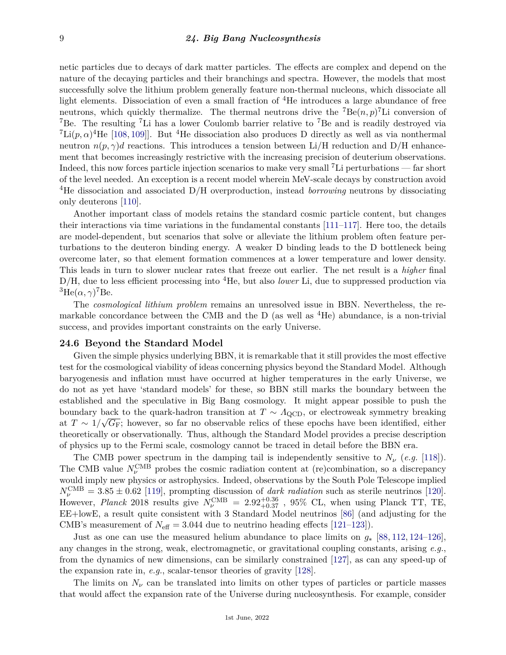netic particles due to decays of dark matter particles. The effects are complex and depend on the nature of the decaying particles and their branchings and spectra. However, the models that most successfully solve the lithium problem generally feature non-thermal nucleons, which dissociate all light elements. Dissociation of even a small fraction of <sup>4</sup>He introduces a large abundance of free neutrons, which quickly thermalize. The thermal neutrons drive the  ${}^{7}Be(n, p)$ <sup>7</sup>Li conversion of <sup>7</sup>Be. The resulting <sup>7</sup>Li has a lower Coulomb barrier relative to <sup>7</sup>Be and is readily destroyed via <sup>7</sup>Li( $p, \alpha$ )<sup>4</sup>He [\[108,](#page-13-7) [109\]](#page-13-8). But <sup>4</sup>He dissociation also produces D directly as well as via nonthermal neutron  $n(p, \gamma)d$  reactions. This introduces a tension between Li/H reduction and D/H enhancement that becomes increasingly restrictive with the increasing precision of deuterium observations. Indeed, this now forces particle injection scenarios to make very small <sup>7</sup>Li perturbations — far short of the level needed. An exception is a recent model wherein MeV-scale decays by construction avoid <sup>4</sup>He dissociation and associated D/H overproduction, instead *borrowing* neutrons by dissociating only deuterons [\[110\]](#page-13-9).

Another important class of models retains the standard cosmic particle content, but changes their interactions via time variations in the fundamental constants [\[111–](#page-13-10)[117\]](#page-13-11). Here too, the details are model-dependent, but scenarios that solve or alleviate the lithium problem often feature perturbations to the deuteron binding energy. A weaker D binding leads to the D bottleneck being overcome later, so that element formation commences at a lower temperature and lower density. This leads in turn to slower nuclear rates that freeze out earlier. The net result is a *higher* final D/H, due to less efficient processing into <sup>4</sup>He, but also *lower* Li, due to suppressed production via  ${}^{3}$ He( $\alpha, \gamma$ )<sup>7</sup>Be.

The *cosmological lithium problem* remains an unresolved issue in BBN. Nevertheless, the remarkable concordance between the CMB and the D (as well as  ${}^{4}$ He) abundance, is a non-trivial success, and provides important constraints on the early Universe.

#### **24.6 Beyond the Standard Model**

Given the simple physics underlying BBN, it is remarkable that it still provides the most effective test for the cosmological viability of ideas concerning physics beyond the Standard Model. Although baryogenesis and inflation must have occurred at higher temperatures in the early Universe, we do not as yet have 'standard models' for these, so BBN still marks the boundary between the established and the speculative in Big Bang cosmology. It might appear possible to push the boundary back to the quark-hadron transition at  $T \sim A_{\rm QCD}$ , or electroweak symmetry breaking at *T* ∼ 1*/ G*F; however, so far no observable relics of these epochs have been identified, either theoretically or observationally. Thus, although the Standard Model provides a precise description of physics up to the Fermi scale, cosmology cannot be traced in detail before the BBN era.

The CMB power spectrum in the damping tail is independently sensitive to  $N_{\nu}$  (*e.g.* [\[118\]](#page-13-12)). The CMB value  $N_{\nu}^{\text{CMB}}$  probes the cosmic radiation content at (re)combination, so a discrepancy would imply new physics or astrophysics. Indeed, observations by the South Pole Telescope implied  $N_{\nu}^{\text{CMB}} = 3.85 \pm 0.62$  [\[119\]](#page-13-13), prompting discussion of *dark radiation* such as sterile neutrinos [\[120\]](#page-13-14). However, *Planck* 2018 results give  $N_{\nu}^{\rm CMB} = 2.92_{+0.37}^{+0.36}$  , 95% CL, when using Planck TT, TE, EE+lowE, a result quite consistent with 3 Standard Model neutrinos [\[86\]](#page-12-19) (and adjusting for the CMB's measurement of  $N_{\text{eff}} = 3.044$  due to neutrino heading effects [\[121–](#page-13-15)[123\]](#page-13-16)).

Just as one can use the measured helium abundance to place limits on *g*<sup>∗</sup> [\[88,](#page-12-21) [112,](#page-13-17) [124–](#page-13-18)[126\]](#page-13-19), any changes in the strong, weak, electromagnetic, or gravitational coupling constants, arising *e.g.*, from the dynamics of new dimensions, can be similarly constrained [\[127\]](#page-13-20), as can any speed-up of the expansion rate in,  $e.g.,$  scalar-tensor theories of gravity  $|128|$ .

The limits on  $N_{\nu}$  can be translated into limits on other types of particles or particle masses that would affect the expansion rate of the Universe during nucleosynthesis. For example, consider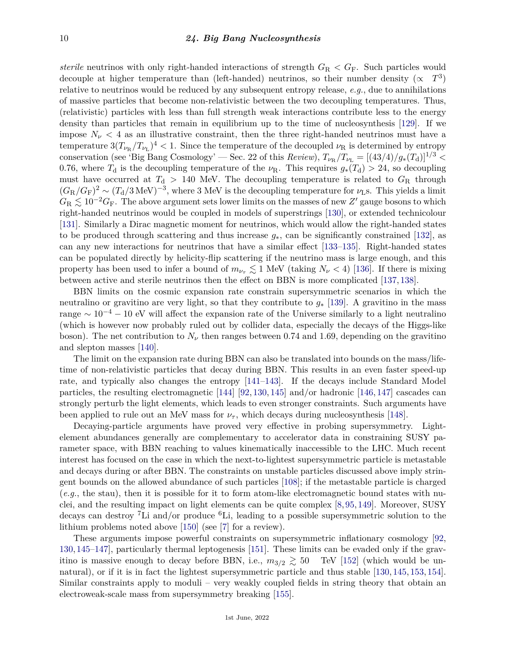*sterile* neutrinos with only right-handed interactions of strength  $G_{\rm R} < G_{\rm F}$ . Such particles would decouple at higher temperature than (left-handed) neutrinos, so their number density  $(\propto T^3)$ relative to neutrinos would be reduced by any subsequent entropy release, *e.g.*, due to annihilations of massive particles that become non-relativistic between the two decoupling temperatures. Thus, (relativistic) particles with less than full strength weak interactions contribute less to the energy density than particles that remain in equilibrium up to the time of nucleosynthesis [\[129\]](#page-13-22). If we impose  $N_{\nu}$  < 4 as an illustrative constraint, then the three right-handed neutrinos must have a temperature  $3(T_{\nu_R}/T_{\nu_L})^4 < 1$ . Since the temperature of the decoupled  $\nu_R$  is determined by entropy conservation (see 'Big Bang Cosmology' — Sec. 22 of this *Review*),  $T_{\nu_R}/T_{\nu_L} = [(43/4)/g_*(T_d)]^{1/3}$  < 0.76, where  $T_d$  is the decoupling temperature of the  $\nu_R$ . This requires  $g_*(T_d) > 24$ , so decoupling must have occurred at  $T<sub>d</sub> > 140$  MeV. The decoupling temperature is related to  $G<sub>R</sub>$  through  $(G_R/G_F)^2 \sim (T_d/3 \text{ MeV})^{-3}$ , where 3 MeV is the decoupling temperature for  $\nu_L$ s. This yields a limit  $G_{\rm R} \lesssim 10^{-2} G_{\rm F}$ . The above argument sets lower limits on the masses of new  $Z'$  gauge bosons to which right-handed neutrinos would be coupled in models of superstrings [\[130\]](#page-13-23), or extended technicolour [\[131\]](#page-13-24). Similarly a Dirac magnetic moment for neutrinos, which would allow the right-handed states to be produced through scattering and thus increase *g*∗, can be significantly constrained [\[132\]](#page-13-25), as can any new interactions for neutrinos that have a similar effect [\[133–](#page-13-26)[135\]](#page-14-0). Right-handed states can be populated directly by helicity-flip scattering if the neutrino mass is large enough, and this property has been used to infer a bound of  $m_{\nu_{\tau}} \lesssim 1$  MeV (taking  $N_{\nu} < 4$ ) [\[136\]](#page-14-1). If there is mixing between active and sterile neutrinos then the effect on BBN is more complicated [\[137,](#page-14-2) [138\]](#page-14-3).

BBN limits on the cosmic expansion rate constrain supersymmetric scenarios in which the neutralino or gravitino are very light, so that they contribute to *g*<sup>∗</sup> [\[139\]](#page-14-4). A gravitino in the mass range  $\sim 10^{-4} - 10$  eV will affect the expansion rate of the Universe similarly to a light neutralino (which is however now probably ruled out by collider data, especially the decays of the Higgs-like boson). The net contribution to  $N_{\nu}$  then ranges between 0.74 and 1.69, depending on the gravitino and slepton masses [\[140\]](#page-14-5).

The limit on the expansion rate during BBN can also be translated into bounds on the mass/lifetime of non-relativistic particles that decay during BBN. This results in an even faster speed-up rate, and typically also changes the entropy [\[141–](#page-14-6)[143\]](#page-14-7). If the decays include Standard Model particles, the resulting electromagnetic [\[144\]](#page-14-8) [\[92,](#page-12-25) [130,](#page-13-23) [145\]](#page-14-9) and/or hadronic [\[146,](#page-14-10) [147\]](#page-14-11) cascades can strongly perturb the light elements, which leads to even stronger constraints. Such arguments have been applied to rule out an MeV mass for  $\nu_{\tau}$ , which decays during nucleosynthesis [\[148\]](#page-14-12).

Decaying-particle arguments have proved very effective in probing supersymmetry. Lightelement abundances generally are complementary to accelerator data in constraining SUSY parameter space, with BBN reaching to values kinematically inaccessible to the LHC. Much recent interest has focused on the case in which the next-to-lightest supersymmetric particle is metastable and decays during or after BBN. The constraints on unstable particles discussed above imply stringent bounds on the allowed abundance of such particles [\[108\]](#page-13-7); if the metastable particle is charged (*e.g.*, the stau), then it is possible for it to form atom-like electromagnetic bound states with nuclei, and the resulting impact on light elements can be quite complex [\[8,](#page-10-23) [95,](#page-12-28) [149\]](#page-14-13). Moreover, SUSY decays can destroy <sup>7</sup>Li and/or produce  ${}^{6}$ Li, leading to a possible supersymmetric solution to the lithium problems noted above [\[150\]](#page-14-14) (see [\[7\]](#page-10-22) for a review).

These arguments impose powerful constraints on supersymmetric inflationary cosmology [\[92,](#page-12-25) [130,](#page-13-23) [145–](#page-14-9)[147\]](#page-14-11), particularly thermal leptogenesis [\[151\]](#page-14-15). These limits can be evaded only if the gravitino is massive enough to decay before BBN, i.e.,  $m_{3/2} \gtrsim 50$  TeV [\[152\]](#page-14-16) (which would be unnatural), or if it is in fact the lightest supersymmetric particle and thus stable [\[130,](#page-13-23) [145,](#page-14-9) [153,](#page-14-17) [154\]](#page-14-18). Similar constraints apply to moduli – very weakly coupled fields in string theory that obtain an electroweak-scale mass from supersymmetry breaking [\[155\]](#page-14-19).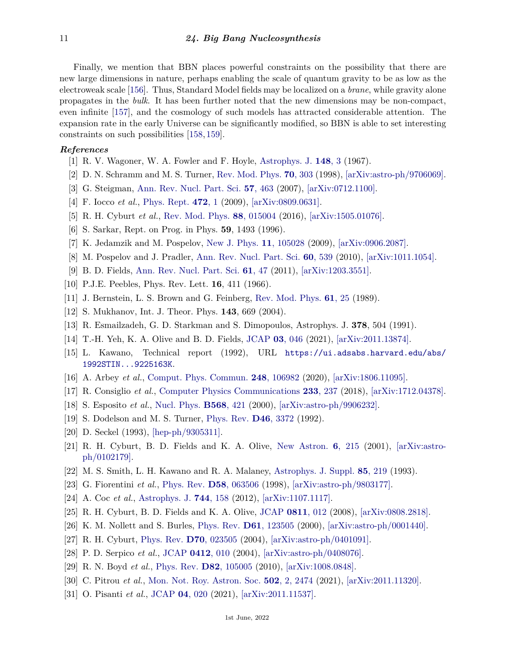Finally, we mention that BBN places powerful constraints on the possibility that there are new large dimensions in nature, perhaps enabling the scale of quantum gravity to be as low as the electroweak scale [\[156\]](#page-14-20). Thus, Standard Model fields may be localized on a *brane*, while gravity alone propagates in the *bulk*. It has been further noted that the new dimensions may be non-compact, even infinite [\[157\]](#page-14-21), and the cosmology of such models has attracted considerable attention. The expansion rate in the early Universe can be significantly modified, so BBN is able to set interesting constraints on such possibilities [\[158,](#page-14-22) [159\]](#page-14-23).

# <span id="page-10-0"></span>*References*

- [1] R. V. Wagoner, W. A. Fowler and F. Hoyle, [Astrophys. J.](http://doi.org/10.1086/149126) **[148](http://doi.org/10.1086/149126)**, 3 (1967).
- <span id="page-10-1"></span>[2] D. N. Schramm and M. S. Turner, [Rev. Mod. Phys.](http://doi.org/10.1103/RevModPhys.70.303) **70**[, 303](http://doi.org/10.1103/RevModPhys.70.303) (1998), [\[arXiv:astro-ph/9706069\].](https://arxiv.org/abs/astro-ph/9706069)
- [3] G. Steigman, [Ann. Rev. Nucl. Part. Sci.](http://doi.org/10.1146/annurev.nucl.56.080805.140437) **57**[, 463](http://doi.org/10.1146/annurev.nucl.56.080805.140437) (2007), [\[arXiv:0712.1100\].](https://arxiv.org/abs/0712.1100)
- <span id="page-10-2"></span>[4] F. Iocco *et al.*, [Phys. Rept.](http://doi.org/10.1016/j.physrep.2009.02.002) **[472](http://doi.org/10.1016/j.physrep.2009.02.002)**, 1 (2009), [\[arXiv:0809.0631\].](https://arxiv.org/abs/0809.0631)
- [5] R. H. Cyburt *et al.*, [Rev. Mod. Phys.](http://doi.org/10.1103/RevModPhys.88.015004) **88**[, 015004](http://doi.org/10.1103/RevModPhys.88.015004) (2016), [\[arXiv:1505.01076\].](https://arxiv.org/abs/1505.01076)
- <span id="page-10-3"></span>[6] S. Sarkar, Rept. on Prog. in Phys. **59**, 1493 (1996).
- <span id="page-10-22"></span>[7] K. Jedamzik and M. Pospelov, [New J. Phys.](http://doi.org/10.1088/1367-2630/11/10/105028) **11**[, 105028](http://doi.org/10.1088/1367-2630/11/10/105028) (2009), [\[arXiv:0906.2087\].](https://arxiv.org/abs/0906.2087)
- <span id="page-10-23"></span>[8] M. Pospelov and J. Pradler, [Ann. Rev. Nucl. Part. Sci.](http://doi.org/10.1146/annurev.nucl.012809.104521) **60**[, 539](http://doi.org/10.1146/annurev.nucl.012809.104521) (2010), [\[arXiv:1011.1054\].](https://arxiv.org/abs/1011.1054)
- <span id="page-10-4"></span>[9] B. D. Fields, [Ann. Rev. Nucl. Part. Sci.](http://doi.org/10.1146/annurev-nucl-102010-130445) **61**[, 47](http://doi.org/10.1146/annurev-nucl-102010-130445) (2011), [\[arXiv:1203.3551\].](https://arxiv.org/abs/1203.3551)
- <span id="page-10-5"></span>[10] P.J.E. Peebles, Phys. Rev. Lett. **16**, 411 (1966).
- <span id="page-10-6"></span>[11] J. Bernstein, L. S. Brown and G. Feinberg, [Rev. Mod. Phys.](http://doi.org/10.1103/RevModPhys.61.25) **61**[, 25](http://doi.org/10.1103/RevModPhys.61.25) (1989).
- <span id="page-10-7"></span>[12] S. Mukhanov, Int. J. Theor. Phys. **143**, 669 (2004).
- <span id="page-10-8"></span>[13] R. Esmailzadeh, G. D. Starkman and S. Dimopoulos, Astrophys. J. **378**, 504 (1991).
- <span id="page-10-9"></span>[14] T.-H. Yeh, K. A. Olive and B. D. Fields, [JCAP](http://doi.org/10.1088/1475-7516/2021/03/046) **03**[, 046](http://doi.org/10.1088/1475-7516/2021/03/046) (2021), [\[arXiv:2011.13874\].](https://arxiv.org/abs/2011.13874)
- <span id="page-10-10"></span>[15] L. Kawano, Technical report (1992), URL [https://ui.adsabs.harvard.edu/abs/](https://ui.adsabs.harvard.edu/abs/1992STIN...9225163K) [1992STIN...9225163K](https://ui.adsabs.harvard.edu/abs/1992STIN...9225163K).
- [16] A. Arbey *et al.*, [Comput. Phys. Commun.](http://doi.org/10.1016/j.cpc.2019.106982) **248**[, 106982](http://doi.org/10.1016/j.cpc.2019.106982) (2020), [\[arXiv:1806.11095\].](https://arxiv.org/abs/1806.11095)
- <span id="page-10-11"></span>[17] R. Consiglio *et al.*, [Computer Physics Communications](http://doi.org/10.1016/j.cpc.2018.06.022) **233**[, 237](http://doi.org/10.1016/j.cpc.2018.06.022) (2018), [\[arXiv:1712.04378\].](https://arxiv.org/abs/1712.04378)
- <span id="page-10-12"></span>[18] S. Esposito *et al.*, [Nucl. Phys.](http://doi.org/10.1016/S0550-3213(99)00725-7) **[B568](http://doi.org/10.1016/S0550-3213(99)00725-7)**, 421 (2000), [\[arXiv:astro-ph/9906232\].](https://arxiv.org/abs/astro-ph/9906232)
- <span id="page-10-13"></span>[19] S. Dodelson and M. S. Turner, [Phys. Rev.](http://doi.org/10.1103/PhysRevD.46.3372) **D46**[, 3372](http://doi.org/10.1103/PhysRevD.46.3372) (1992).
- <span id="page-10-14"></span>[20] D. Seckel (1993), [\[hep-ph/9305311\].](https://arxiv.org/abs/hep-ph/9305311)
- <span id="page-10-15"></span>[21] R. H. Cyburt, B. D. Fields and K. A. Olive, [New Astron.](http://doi.org/10.1016/S1384-1076(01)00053-7) **6**[, 215](http://doi.org/10.1016/S1384-1076(01)00053-7) (2001), [\[arXiv:astro](https://arxiv.org/abs/astro-ph/0102179)[ph/0102179\].](https://arxiv.org/abs/astro-ph/0102179)
- [22] M. S. Smith, L. H. Kawano and R. A. Malaney, [Astrophys. J. Suppl.](http://doi.org/10.1086/191763) **85**[, 219](http://doi.org/10.1086/191763) (1993).
- <span id="page-10-18"></span>[23] G. Fiorentini *et al.*, [Phys. Rev.](http://doi.org/10.1103/PhysRevD.58.063506) **D58**[, 063506](http://doi.org/10.1103/PhysRevD.58.063506) (1998), [\[arXiv:astro-ph/9803177\].](https://arxiv.org/abs/astro-ph/9803177)
- <span id="page-10-16"></span>[24] A. Coc *et al.*, [Astrophys. J.](http://doi.org/10.1088/0004-637X/744/2/158) **744**[, 158](http://doi.org/10.1088/0004-637X/744/2/158) (2012), [\[arXiv:1107.1117\].](https://arxiv.org/abs/1107.1117)
- <span id="page-10-20"></span>[25] R. H. Cyburt, B. D. Fields and K. A. Olive, [JCAP](http://doi.org/10.1088/1475-7516/2008/11/012) **[0811](http://doi.org/10.1088/1475-7516/2008/11/012)**, 012 (2008), [\[arXiv:0808.2818\].](https://arxiv.org/abs/0808.2818)
- [26] K. M. Nollett and S. Burles, [Phys. Rev.](http://doi.org/10.1103/PhysRevD.61.123505) **D61**[, 123505](http://doi.org/10.1103/PhysRevD.61.123505) (2000), [\[arXiv:astro-ph/0001440\].](https://arxiv.org/abs/astro-ph/0001440)
- [27] R. H. Cyburt, [Phys. Rev.](http://doi.org/10.1103/PhysRevD.70.023505) **D70**[, 023505](http://doi.org/10.1103/PhysRevD.70.023505) (2004), [\[arXiv:astro-ph/0401091\].](https://arxiv.org/abs/astro-ph/0401091)
- [28] P. D. Serpico *et al.*, [JCAP](http://doi.org/10.1088/1475-7516/2004/12/010) **[0412](http://doi.org/10.1088/1475-7516/2004/12/010)**, 010 (2004), [\[arXiv:astro-ph/0408076\].](https://arxiv.org/abs/astro-ph/0408076)
- <span id="page-10-21"></span>[29] R. N. Boyd *et al.*, [Phys. Rev.](http://doi.org/10.1103/PhysRevD.82.105005) **D82**[, 105005](http://doi.org/10.1103/PhysRevD.82.105005) (2010), [\[arXiv:1008.0848\].](https://arxiv.org/abs/1008.0848)
- <span id="page-10-19"></span>[30] C. Pitrou *et al.*, [Mon. Not. Roy. Astron. Soc.](http://doi.org/10.1093/mnras/stab135) **502**[, 2, 2474](http://doi.org/10.1093/mnras/stab135) (2021), [\[arXiv:2011.11320\].](https://arxiv.org/abs/2011.11320)
- <span id="page-10-17"></span>[31] O. Pisanti *et al.*, [JCAP](http://doi.org/10.1088/1475-7516/2021/04/020) **04**[, 020](http://doi.org/10.1088/1475-7516/2021/04/020) (2021), [\[arXiv:2011.11537\].](https://arxiv.org/abs/2011.11537)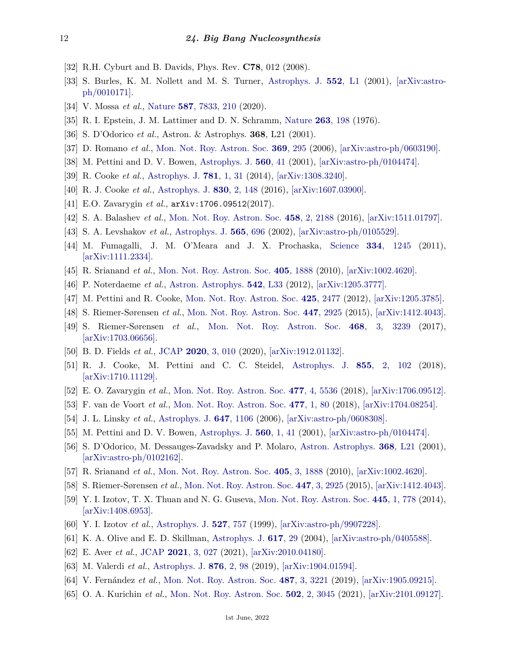- <span id="page-11-0"></span>[32] R.H. Cyburt and B. Davids, Phys. Rev. **C78**, 012 (2008).
- <span id="page-11-1"></span>[33] S. Burles, K. M. Nollett and M. S. Turner, [Astrophys. J.](http://doi.org/10.1086/320251) **552**[, L1](http://doi.org/10.1086/320251) (2001), [\[arXiv:astro](https://arxiv.org/abs/astro-ph/0010171)[ph/0010171\].](https://arxiv.org/abs/astro-ph/0010171)
- <span id="page-11-3"></span><span id="page-11-2"></span>[34] V. Mossa *et al.*, [Nature](http://doi.org/10.1038/s41586-020-2878-4) **587**[, 7833, 210](http://doi.org/10.1038/s41586-020-2878-4) (2020).
- <span id="page-11-4"></span>[35] R. I. Epstein, J. M. Lattimer and D. N. Schramm, [Nature](http://doi.org/10.1038/263198a0) **263**[, 198](http://doi.org/10.1038/263198a0) (1976).
- <span id="page-11-11"></span>[36] S. D'Odorico *et al.*, Astron. & Astrophys. **368**, L21 (2001).
- [37] D. Romano *et al.*, [Mon. Not. Roy. Astron. Soc.](http://doi.org/10.1111/j.1365-2966.2006.10287.x) **369**[, 295](http://doi.org/10.1111/j.1365-2966.2006.10287.x) (2006), [\[arXiv:astro-ph/0603190\].](https://arxiv.org/abs/astro-ph/0603190)
- [38] M. Pettini and D. V. Bowen, [Astrophys. J.](http://doi.org/10.1086/322510) **[560](http://doi.org/10.1086/322510)**, 41 (2001), [\[arXiv:astro-ph/0104474\].](https://arxiv.org/abs/astro-ph/0104474)
- <span id="page-11-23"></span>[39] R. Cooke *et al.*, [Astrophys. J.](http://doi.org/10.1088/0004-637X/781/1/31) **781**[, 1, 31](http://doi.org/10.1088/0004-637X/781/1/31) (2014), [\[arXiv:1308.3240\].](https://arxiv.org/abs/1308.3240)
- <span id="page-11-6"></span>[40] R. J. Cooke *et al.*, [Astrophys. J.](http://doi.org/10.3847/0004-637X/830/2/148) **830**[, 2, 148](http://doi.org/10.3847/0004-637X/830/2/148) (2016), [\[arXiv:1607.03900\].](https://arxiv.org/abs/1607.03900)
- <span id="page-11-8"></span>[41] E.O. Zavarygin *et al.*, arXiv:1706.09512(2017).
- <span id="page-11-7"></span>[42] S. A. Balashev *et al.*, [Mon. Not. Roy. Astron. Soc.](http://doi.org/10.1093/mnras/stw356) **458**[, 2, 2188](http://doi.org/10.1093/mnras/stw356) (2016), [\[arXiv:1511.01797\].](https://arxiv.org/abs/1511.01797)
- [43] S. A. Levshakov *et al.*, [Astrophys. J.](http://doi.org/10.1086/324722) **565**[, 696](http://doi.org/10.1086/324722) (2002), [\[arXiv:astro-ph/0105529\].](https://arxiv.org/abs/astro-ph/0105529)
- <span id="page-11-20"></span>[44] M. Fumagalli, J. M. O'Meara and J. X. Prochaska, [Science](http://doi.org/10.1126/science.1213581) **334**[, 1245](http://doi.org/10.1126/science.1213581) (2011),  $\arXiv:1111.2334$ .
- <span id="page-11-21"></span>[45] R. Srianand *et al.*, [Mon. Not. Roy. Astron. Soc.](http://doi.org/10.1111/j.1365-2966.2010.16574.x) **405**[, 1888](http://doi.org/10.1111/j.1365-2966.2010.16574.x) (2010), [\[arXiv:1002.4620\].](https://arxiv.org/abs/1002.4620)
- [46] P. Noterdaeme *et al.*, [Astron. Astrophys.](http://doi.org/10.1051/0004-6361/201219453) **542**[, L33](http://doi.org/10.1051/0004-6361/201219453) (2012), [\[arXiv:1205.3777\].](https://arxiv.org/abs/1205.3777)
- [47] M. Pettini and R. Cooke, [Mon. Not. Roy. Astron. Soc.](http://doi.org/10.1111/j.1365-2966.2012.21665.x) **425**[, 2477](http://doi.org/10.1111/j.1365-2966.2012.21665.x) (2012), [\[arXiv:1205.3785\].](https://arxiv.org/abs/1205.3785)
- [48] S. Riemer-Sørensen *et al.*, [Mon. Not. Roy. Astron. Soc.](http://doi.org/10.1093/mnras/stu2599) **447**[, 2925](http://doi.org/10.1093/mnras/stu2599) (2015), [\[arXiv:1412.4043\].](https://arxiv.org/abs/1412.4043)
- <span id="page-11-5"></span>[49] S. Riemer-Sørensen *et al.*, [Mon. Not. Roy. Astron. Soc.](http://doi.org/10.1093/mnras/stx681) **468**[, 3, 3239](http://doi.org/10.1093/mnras/stx681) (2017), [\[arXiv:1703.06656\].](https://arxiv.org/abs/1703.06656)
- <span id="page-11-17"></span>[50] B. D. Fields *et al.*, [JCAP](http://doi.org/10.1088/1475-7516/2020/03/010) **2020**[, 3, 010](http://doi.org/10.1088/1475-7516/2020/03/010) (2020), [\[arXiv:1912.01132\].](https://arxiv.org/abs/1912.01132)
- <span id="page-11-9"></span>[51] R. J. Cooke, M. Pettini and C. C. Steidel, [Astrophys. J.](http://doi.org/10.3847/1538-4357/aaab53) **855**[, 2, 102](http://doi.org/10.3847/1538-4357/aaab53) (2018), [\[arXiv:1710.11129\].](https://arxiv.org/abs/1710.11129)
- <span id="page-11-10"></span>[52] E. O. Zavarygin *et al.*, [Mon. Not. Roy. Astron. Soc.](http://doi.org/10.1093/mnras/sty1003) **477**[, 4, 5536](http://doi.org/10.1093/mnras/sty1003) (2018), [\[arXiv:1706.09512\].](https://arxiv.org/abs/1706.09512)
- <span id="page-11-12"></span>[53] F. van de Voort *et al.*, [Mon. Not. Roy. Astron. Soc.](http://doi.org/10.1093/mnras/sty591) **477**[, 1, 80](http://doi.org/10.1093/mnras/sty591) (2018), [\[arXiv:1704.08254\].](https://arxiv.org/abs/1704.08254)
- <span id="page-11-13"></span>[54] J. L. Linsky *et al.*, [Astrophys. J.](http://doi.org/10.1086/505556) **647**[, 1106](http://doi.org/10.1086/505556) (2006), [\[arXiv:astro-ph/0608308\].](https://arxiv.org/abs/astro-ph/0608308)
- <span id="page-11-18"></span>[55] M. Pettini and D. V. Bowen, [Astrophys. J.](http://doi.org/10.1086/322510) **560**[, 1, 41](http://doi.org/10.1086/322510) (2001), [\[arXiv:astro-ph/0104474\].](https://arxiv.org/abs/astro-ph/0104474)
- <span id="page-11-19"></span>[56] S. D'Odorico, M. Dessauges-Zavadsky and P. Molaro, [Astron. Astrophys.](http://doi.org/10.1051/0004-6361:20010183) **368**[, L21](http://doi.org/10.1051/0004-6361:20010183) (2001), [\[arXiv:astro-ph/0102162\].](https://arxiv.org/abs/astro-ph/0102162)
- <span id="page-11-22"></span>[57] R. Srianand *et al.*, [Mon. Not. Roy. Astron. Soc.](http://doi.org/10.1111/j.1365-2966.2010.16574.x) **405**[, 3, 1888](http://doi.org/10.1111/j.1365-2966.2010.16574.x) (2010), [\[arXiv:1002.4620\].](https://arxiv.org/abs/1002.4620)
- <span id="page-11-24"></span>[58] S. Riemer-Sørensen *et al.*, [Mon. Not. Roy. Astron. Soc.](http://doi.org/10.1093/mnras/stu2599) **447**[, 3, 2925](http://doi.org/10.1093/mnras/stu2599) (2015), [\[arXiv:1412.4043\].](https://arxiv.org/abs/1412.4043)
- <span id="page-11-14"></span>[59] Y. I. Izotov, T. X. Thuan and N. G. Guseva, [Mon. Not. Roy. Astron. Soc.](http://doi.org/10.1093/mnras/stu1771) **445**[, 1, 778](http://doi.org/10.1093/mnras/stu1771) (2014), [\[arXiv:1408.6953\].](https://arxiv.org/abs/1408.6953)
- <span id="page-11-15"></span>[60] Y. I. Izotov *et al.*, [Astrophys. J.](http://doi.org/10.1086/308119) **527**[, 757](http://doi.org/10.1086/308119) (1999), [\[arXiv:astro-ph/9907228\].](https://arxiv.org/abs/astro-ph/9907228)
- <span id="page-11-16"></span>[61] K. A. Olive and E. D. Skillman, [Astrophys. J.](http://doi.org/10.1086/425170) **[617](http://doi.org/10.1086/425170)**, 29 (2004), [\[arXiv:astro-ph/0405588\].](https://arxiv.org/abs/astro-ph/0405588)
- <span id="page-11-25"></span>[62] E. Aver *et al.*, [JCAP](http://doi.org/10.1088/1475-7516/2021/03/027) **2021**[, 3, 027](http://doi.org/10.1088/1475-7516/2021/03/027) (2021), [\[arXiv:2010.04180\].](https://arxiv.org/abs/2010.04180)
- <span id="page-11-26"></span>[63] M. Valerdi *et al.*, [Astrophys. J.](http://doi.org/10.3847/1538-4357/ab14e4) **876**[, 2, 98](http://doi.org/10.3847/1538-4357/ab14e4) (2019), [\[arXiv:1904.01594\].](https://arxiv.org/abs/1904.01594)
- <span id="page-11-27"></span>[64] V. Fernández *et al.*, [Mon. Not. Roy. Astron. Soc.](http://doi.org/10.1093/mnras/stz1433) **487**[, 3, 3221](http://doi.org/10.1093/mnras/stz1433) (2019), [\[arXiv:1905.09215\].](https://arxiv.org/abs/1905.09215)
- <span id="page-11-28"></span>[65] O. A. Kurichin *et al.*, [Mon. Not. Roy. Astron. Soc.](http://doi.org/10.1093/mnras/stab215) **502**[, 2, 3045](http://doi.org/10.1093/mnras/stab215) (2021), [\[arXiv:2101.09127\].](https://arxiv.org/abs/2101.09127)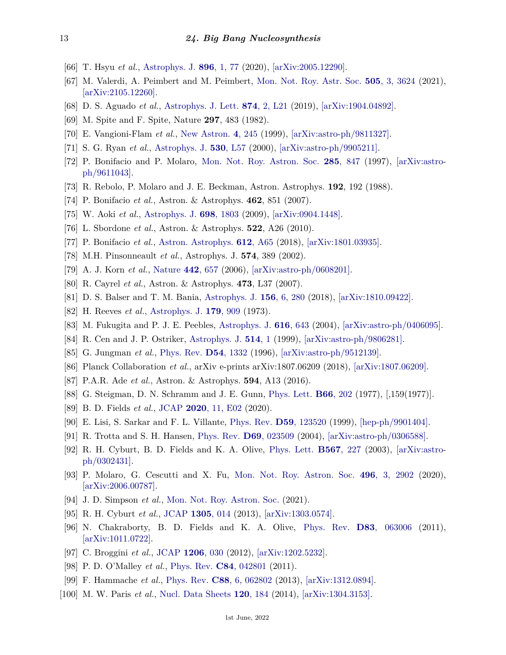- <span id="page-12-1"></span>[66] T. Hsyu *et al.*, [Astrophys. J.](http://doi.org/10.3847/1538-4357/ab91af) **896**[, 1, 77](http://doi.org/10.3847/1538-4357/ab91af) (2020), [\[arXiv:2005.12290\].](https://arxiv.org/abs/2005.12290)
- <span id="page-12-0"></span>[67] M. Valerdi, A. Peimbert and M. Peimbert, [Mon. Not. Roy. Astr. Soc.](http://doi.org/10.1093/mnras/stab1543) **505**[, 3, 3624](http://doi.org/10.1093/mnras/stab1543) (2021), [\[arXiv:2105.12260\].](https://arxiv.org/abs/2105.12260)
- <span id="page-12-2"></span>[68] D. S. Aguado *et al.*, [Astrophys. J. Lett.](http://doi.org/10.3847/2041-8213/ab1076) **874**[, 2, L21](http://doi.org/10.3847/2041-8213/ab1076) (2019), [\[arXiv:1904.04892\].](https://arxiv.org/abs/1904.04892)
- <span id="page-12-3"></span>[69] M. Spite and F. Spite, Nature **297**, 483 (1982).
- [70] E. Vangioni-Flam *et al.*, [New Astron.](http://doi.org/10.1016/S1384-1076(99)00015-9) **4**[, 245](http://doi.org/10.1016/S1384-1076(99)00015-9) (1999), [\[arXiv:astro-ph/9811327\].](https://arxiv.org/abs/astro-ph/9811327)
- <span id="page-12-11"></span>[71] S. G. Ryan *et al.*, [Astrophys. J.](http://doi.org/10.1086/312492) **530**[, L57](http://doi.org/10.1086/312492) (2000), [\[arXiv:astro-ph/9905211\].](https://arxiv.org/abs/astro-ph/9905211)
- <span id="page-12-4"></span>[72] P. Bonifacio and P. Molaro, [Mon. Not. Roy. Astron. Soc.](http://doi.org/10.1093/mnras/285.4.847) **285**[, 847](http://doi.org/10.1093/mnras/285.4.847) (1997), [\[arXiv:astro](https://arxiv.org/abs/astro-ph/9611043)[ph/9611043\].](https://arxiv.org/abs/astro-ph/9611043)
- <span id="page-12-5"></span>[73] R. Rebolo, P. Molaro and J. E. Beckman, Astron. Astrophys. **192**, 192 (1988).
- <span id="page-12-6"></span>[74] P. Bonifacio *et al.*, Astron. & Astrophys. **462**, 851 (2007).
- <span id="page-12-9"></span>[75] W. Aoki *et al.*, [Astrophys. J.](http://doi.org/10.1088/0004-637X/698/2/1803) **698**[, 1803](http://doi.org/10.1088/0004-637X/698/2/1803) (2009), [\[arXiv:0904.1448\].](https://arxiv.org/abs/0904.1448)
- <span id="page-12-7"></span>[76] L. Sbordone *et al.*, Astron. & Astrophys. **522**, A26 (2010).
- <span id="page-12-8"></span>[77] P. Bonifacio *et al.*, [Astron. Astrophys.](http://doi.org/10.1051/0004-6361/201732320) **612**[, A65](http://doi.org/10.1051/0004-6361/201732320) (2018), [\[arXiv:1801.03935\].](https://arxiv.org/abs/1801.03935)
- <span id="page-12-12"></span><span id="page-12-10"></span>[78] M.H. Pinsonneault *et al.*, Astrophys. J. **574**, 389 (2002).
- <span id="page-12-13"></span>[79] A. J. Korn *et al.*, [Nature](http://doi.org/10.1038/nature05011) **442**[, 657](http://doi.org/10.1038/nature05011) (2006), [\[arXiv:astro-ph/0608201\].](https://arxiv.org/abs/astro-ph/0608201)
- [80] R. Cayrel *et al.*, Astron. & Astrophys. **473**, L37 (2007).
- <span id="page-12-14"></span>[81] D. S. Balser and T. M. Bania, [Astrophys. J.](http://doi.org/10.3847/1538-3881/aaeb2b) **156**[, 6, 280](http://doi.org/10.3847/1538-3881/aaeb2b) (2018), [\[arXiv:1810.09422\].](https://arxiv.org/abs/1810.09422)
- <span id="page-12-16"></span><span id="page-12-15"></span>[82] H. Reeves *et al.*, [Astrophys. J.](http://doi.org/10.1086/151928) **179**[, 909](http://doi.org/10.1086/151928) (1973).
- [83] M. Fukugita and P. J. E. Peebles, [Astrophys. J.](http://doi.org/10.1086/425155) **616**[, 643](http://doi.org/10.1086/425155) (2004), [\[arXiv:astro-ph/0406095\].](https://arxiv.org/abs/astro-ph/0406095)
- <span id="page-12-17"></span>[84] R. Cen and J. P. Ostriker, [Astrophys. J.](http://doi.org/10.1086/306949) **[514](http://doi.org/10.1086/306949)**, 1 (1999), [\[arXiv:astro-ph/9806281\].](https://arxiv.org/abs/astro-ph/9806281)
- <span id="page-12-18"></span>[85] G. Jungman *et al.*, [Phys. Rev.](http://doi.org/10.1103/PhysRevD.54.1332) **D54**[, 1332](http://doi.org/10.1103/PhysRevD.54.1332) (1996), [\[arXiv:astro-ph/9512139\].](https://arxiv.org/abs/astro-ph/9512139)
- <span id="page-12-19"></span>[86] Planck Collaboration *et al.*, arXiv e-prints arXiv:1807.06209 (2018), [\[arXiv:1807.06209\].](https://arxiv.org/abs/1807.06209)
- <span id="page-12-20"></span>[87] P.A.R. Ade *et al.*, Astron. & Astrophys. **594**, A13 (2016).
- <span id="page-12-21"></span>[88] G. Steigman, D. N. Schramm and J. E. Gunn, [Phys. Lett.](http://doi.org/10.1016/0370-2693(77)90176-9) **B66**[, 202](http://doi.org/10.1016/0370-2693(77)90176-9) (1977), [,159(1977)].
- <span id="page-12-22"></span>[89] B. D. Fields *et al.*, [JCAP](http://doi.org/10.1088/1475-7516/2020/11/E02) **2020**[, 11, E02](http://doi.org/10.1088/1475-7516/2020/11/E02) (2020).
- <span id="page-12-23"></span>[90] E. Lisi, S. Sarkar and F. L. Villante, [Phys. Rev.](http://doi.org/10.1103/PhysRevD.59.123520) **D59**[, 123520](http://doi.org/10.1103/PhysRevD.59.123520) (1999), [\[hep-ph/9901404\].](https://arxiv.org/abs/hep-ph/9901404)
- <span id="page-12-24"></span>[91] R. Trotta and S. H. Hansen, [Phys. Rev.](http://doi.org/10.1103/PhysRevD.69.023509) **D69**[, 023509](http://doi.org/10.1103/PhysRevD.69.023509) (2004), [\[arXiv:astro-ph/0306588\].](https://arxiv.org/abs/astro-ph/0306588)
- <span id="page-12-25"></span>[92] R. H. Cyburt, B. D. Fields and K. A. Olive, [Phys. Lett.](http://doi.org/10.1016/j.physletb.2003.06.026) **[B567](http://doi.org/10.1016/j.physletb.2003.06.026)**, 227 (2003), [\[arXiv:astro](https://arxiv.org/abs/astro-ph/0302431)[ph/0302431\].](https://arxiv.org/abs/astro-ph/0302431)
- <span id="page-12-26"></span>[93] P. Molaro, G. Cescutti and X. Fu, [Mon. Not. Roy. Astron. Soc.](http://doi.org/10.1093/mnras/staa1653) **496**[, 3, 2902](http://doi.org/10.1093/mnras/staa1653) (2020), [\[arXiv:2006.00787\].](https://arxiv.org/abs/2006.00787)
- <span id="page-12-27"></span>[94] J. D. Simpson *et al.*, [Mon. Not. Roy. Astron. Soc.](http://doi.org/10.1093/mnras/stab2012) (2021).
- <span id="page-12-28"></span>[95] R. H. Cyburt *et al.*, [JCAP](http://doi.org/10.1088/1475-7516/2013/05/014) **[1305](http://doi.org/10.1088/1475-7516/2013/05/014)**, 014 (2013), [\[arXiv:1303.0574\].](https://arxiv.org/abs/1303.0574)
- [96] N. Chakraborty, B. D. Fields and K. A. Olive, [Phys. Rev.](http://doi.org/10.1103/PhysRevD.83.063006) **D83**[, 063006](http://doi.org/10.1103/PhysRevD.83.063006) (2011), [\[arXiv:1011.0722\].](https://arxiv.org/abs/1011.0722)
- <span id="page-12-29"></span>[97] C. Broggini *et al.*, [JCAP](http://doi.org/10.1088/1475-7516/2012/06/030) **[1206](http://doi.org/10.1088/1475-7516/2012/06/030)**, 030 (2012), [\[arXiv:1202.5232\].](https://arxiv.org/abs/1202.5232)
- <span id="page-12-30"></span>[98] P. D. O'Malley *et al.*, [Phys. Rev.](http://doi.org/10.1103/PhysRevC.84.042801) **C84**[, 042801](http://doi.org/10.1103/PhysRevC.84.042801) (2011).
- [99] F. Hammache *et al.*, [Phys. Rev.](http://doi.org/10.1103/PhysRevC.88.062802) **C88**[, 6, 062802](http://doi.org/10.1103/PhysRevC.88.062802) (2013), [\[arXiv:1312.0894\].](https://arxiv.org/abs/1312.0894)
- <span id="page-12-31"></span>[100] M. W. Paris *et al.*, [Nucl. Data Sheets](http://doi.org/10.1016/j.nds.2014.07.041) **120**[, 184](http://doi.org/10.1016/j.nds.2014.07.041) (2014), [\[arXiv:1304.3153\].](https://arxiv.org/abs/1304.3153)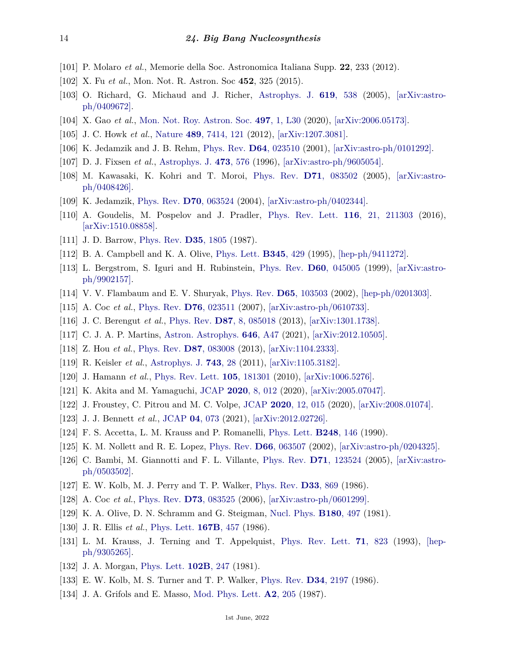- <span id="page-13-0"></span>[101] P. Molaro *et al.*, Memorie della Soc. Astronomica Italiana Supp. **22**, 233 (2012).
- <span id="page-13-3"></span>[102] X. Fu *et al.*, Mon. Not. R. Astron. Soc **452**, 325 (2015).
- <span id="page-13-1"></span>[103] O. Richard, G. Michaud and J. Richer, [Astrophys. J.](http://doi.org/10.1086/426470) **619**[, 538](http://doi.org/10.1086/426470) (2005), [\[arXiv:astro](https://arxiv.org/abs/astro-ph/0409672)[ph/0409672\].](https://arxiv.org/abs/astro-ph/0409672)
- <span id="page-13-4"></span><span id="page-13-2"></span>[104] X. Gao *et al.*, [Mon. Not. Roy. Astron. Soc.](http://doi.org/10.1093/mnrasl/slaa109) **497**[, 1, L30](http://doi.org/10.1093/mnrasl/slaa109) (2020), [\[arXiv:2006.05173\].](https://arxiv.org/abs/2006.05173)
- <span id="page-13-5"></span>[105] J. C. Howk *et al.*, [Nature](http://doi.org/10.1038/nature11407) **489**[, 7414, 121](http://doi.org/10.1038/nature11407) (2012), [\[arXiv:1207.3081\].](https://arxiv.org/abs/1207.3081)
- <span id="page-13-6"></span>[106] K. Jedamzik and J. B. Rehm, [Phys. Rev.](http://doi.org/10.1103/PhysRevD.64.023510) **D64**[, 023510](http://doi.org/10.1103/PhysRevD.64.023510) (2001), [\[arXiv:astro-ph/0101292\].](https://arxiv.org/abs/astro-ph/0101292)
- [107] D. J. Fixsen *et al.*, [Astrophys. J.](http://doi.org/10.1086/178173) **473**[, 576](http://doi.org/10.1086/178173) (1996), [\[arXiv:astro-ph/9605054\].](https://arxiv.org/abs/astro-ph/9605054)
- <span id="page-13-7"></span>[108] M. Kawasaki, K. Kohri and T. Moroi, [Phys. Rev.](http://doi.org/10.1103/PhysRevD.71.083502) **D71**[, 083502](http://doi.org/10.1103/PhysRevD.71.083502) (2005), [\[arXiv:astro](https://arxiv.org/abs/astro-ph/0408426)[ph/0408426\].](https://arxiv.org/abs/astro-ph/0408426)
- <span id="page-13-8"></span>[109] K. Jedamzik, [Phys. Rev.](http://doi.org/10.1103/PhysRevD.70.063524) **D70**[, 063524](http://doi.org/10.1103/PhysRevD.70.063524) (2004), [\[arXiv:astro-ph/0402344\].](https://arxiv.org/abs/astro-ph/0402344)
- <span id="page-13-9"></span>[110] A. Goudelis, M. Pospelov and J. Pradler, [Phys. Rev. Lett.](http://doi.org/10.1103/PhysRevLett.116.211303) **116**[, 21, 211303](http://doi.org/10.1103/PhysRevLett.116.211303) (2016), [\[arXiv:1510.08858\].](https://arxiv.org/abs/1510.08858)
- <span id="page-13-10"></span>[111] J. D. Barrow, [Phys. Rev.](http://doi.org/10.1103/PhysRevD.35.1805) **D35**[, 1805](http://doi.org/10.1103/PhysRevD.35.1805) (1987).
- <span id="page-13-17"></span>[112] B. A. Campbell and K. A. Olive, [Phys. Lett.](http://doi.org/10.1016/0370-2693(94)01652-S) **[B345](http://doi.org/10.1016/0370-2693(94)01652-S)**, 429 (1995), [\[hep-ph/9411272\].](https://arxiv.org/abs/hep-ph/9411272)
- [113] L. Bergstrom, S. Iguri and H. Rubinstein, [Phys. Rev.](http://doi.org/10.1103/PhysRevD.60.045005) **D60**[, 045005](http://doi.org/10.1103/PhysRevD.60.045005) (1999), [\[arXiv:astro](https://arxiv.org/abs/astro-ph/9902157)[ph/9902157\].](https://arxiv.org/abs/astro-ph/9902157)
- [114] V. V. Flambaum and E. V. Shuryak, [Phys. Rev.](http://doi.org/10.1103/PhysRevD.65.103503) **D65**[, 103503](http://doi.org/10.1103/PhysRevD.65.103503) (2002), [\[hep-ph/0201303\].](https://arxiv.org/abs/hep-ph/0201303)
- [115] A. Coc *et al.*, [Phys. Rev.](http://doi.org/10.1103/PhysRevD.76.023511) **D76**[, 023511](http://doi.org/10.1103/PhysRevD.76.023511) (2007), [\[arXiv:astro-ph/0610733\].](https://arxiv.org/abs/astro-ph/0610733)
- [116] J. C. Berengut *et al.*, [Phys. Rev.](http://doi.org/10.1103/PhysRevD.87.085018) **D87**[, 8, 085018](http://doi.org/10.1103/PhysRevD.87.085018) (2013), [\[arXiv:1301.1738\].](https://arxiv.org/abs/1301.1738)
- <span id="page-13-11"></span>[117] C. J. A. P. Martins, [Astron. Astrophys.](http://doi.org/10.1051/0004-6361/202039605) **646**[, A47](http://doi.org/10.1051/0004-6361/202039605) (2021), [\[arXiv:2012.10505\].](https://arxiv.org/abs/2012.10505)
- <span id="page-13-12"></span>[118] Z. Hou *et al.*, [Phys. Rev.](http://doi.org/10.1103/PhysRevD.87.083008) **D87**[, 083008](http://doi.org/10.1103/PhysRevD.87.083008) (2013), [\[arXiv:1104.2333\].](https://arxiv.org/abs/1104.2333)
- <span id="page-13-13"></span>[119] R. Keisler *et al.*, [Astrophys. J.](http://doi.org/10.1088/0004-637X/743/1/28) **[743](http://doi.org/10.1088/0004-637X/743/1/28)**, 28 (2011), [\[arXiv:1105.3182\].](https://arxiv.org/abs/1105.3182)
- <span id="page-13-14"></span>[120] J. Hamann *et al.*, [Phys. Rev. Lett.](http://doi.org/10.1103/PhysRevLett.105.181301) **105**[, 181301](http://doi.org/10.1103/PhysRevLett.105.181301) (2010), [\[arXiv:1006.5276\].](https://arxiv.org/abs/1006.5276)
- <span id="page-13-15"></span>[121] K. Akita and M. Yamaguchi, [JCAP](http://doi.org/10.1088/1475-7516/2020/08/012) **2020**[, 8, 012](http://doi.org/10.1088/1475-7516/2020/08/012) (2020), [\[arXiv:2005.07047\].](https://arxiv.org/abs/2005.07047)
- [122] J. Froustey, C. Pitrou and M. C. Volpe, [JCAP](http://doi.org/10.1088/1475-7516/2020/12/015) **2020**[, 12, 015](http://doi.org/10.1088/1475-7516/2020/12/015) (2020), [\[arXiv:2008.01074\].](https://arxiv.org/abs/2008.01074)
- <span id="page-13-16"></span>[123] J. J. Bennett *et al.*, [JCAP](http://doi.org/10.1088/1475-7516/2021/04/073) **04**[, 073](http://doi.org/10.1088/1475-7516/2021/04/073) (2021), [\[arXiv:2012.02726\].](https://arxiv.org/abs/2012.02726)
- <span id="page-13-18"></span>[124] F. S. Accetta, L. M. Krauss and P. Romanelli, [Phys. Lett.](http://doi.org/10.1016/0370-2693(90)90029-6) **[B248](http://doi.org/10.1016/0370-2693(90)90029-6)**, 146 (1990).
- [125] K. M. Nollett and R. E. Lopez, [Phys. Rev.](http://doi.org/10.1103/PhysRevD.66.063507) **D66**[, 063507](http://doi.org/10.1103/PhysRevD.66.063507) (2002), [\[arXiv:astro-ph/0204325\].](https://arxiv.org/abs/astro-ph/0204325)
- <span id="page-13-19"></span>[126] C. Bambi, M. Giannotti and F. L. Villante, [Phys. Rev.](http://doi.org/10.1103/PhysRevD.71.123524) **D71**[, 123524](http://doi.org/10.1103/PhysRevD.71.123524) (2005), [\[arXiv:astro](https://arxiv.org/abs/astro-ph/0503502)[ph/0503502\].](https://arxiv.org/abs/astro-ph/0503502)
- <span id="page-13-20"></span>[127] E. W. Kolb, M. J. Perry and T. P. Walker, [Phys. Rev.](http://doi.org/10.1103/PhysRevD.33.869) **D33**[, 869](http://doi.org/10.1103/PhysRevD.33.869) (1986).
- <span id="page-13-21"></span>[128] A. Coc *et al.*, [Phys. Rev.](http://doi.org/10.1103/PhysRevD.73.083525) **D73**[, 083525](http://doi.org/10.1103/PhysRevD.73.083525) (2006), [\[arXiv:astro-ph/0601299\].](https://arxiv.org/abs/astro-ph/0601299)
- <span id="page-13-22"></span>[129] K. A. Olive, D. N. Schramm and G. Steigman, [Nucl. Phys.](http://doi.org/10.1016/0550-3213(81)90065-1) **[B180](http://doi.org/10.1016/0550-3213(81)90065-1)**, 497 (1981).
- <span id="page-13-23"></span>[130] J. R. Ellis *et al.*, [Phys. Lett.](http://doi.org/10.1016/0370-2693(86)91301-8) **[167B](http://doi.org/10.1016/0370-2693(86)91301-8)**, 457 (1986).
- <span id="page-13-24"></span>[131] L. M. Krauss, J. Terning and T. Appelquist, [Phys. Rev. Lett.](http://doi.org/10.1103/PhysRevLett.71.823) **71**[, 823](http://doi.org/10.1103/PhysRevLett.71.823) (1993), [\[hep](https://arxiv.org/abs/hep-ph/9305265)[ph/9305265\].](https://arxiv.org/abs/hep-ph/9305265)
- <span id="page-13-25"></span>[132] J. A. Morgan, [Phys. Lett.](http://doi.org/10.1016/0370-2693(81)90868-6) **[102B](http://doi.org/10.1016/0370-2693(81)90868-6)**, 247 (1981).
- <span id="page-13-26"></span>[133] E. W. Kolb, M. S. Turner and T. P. Walker, [Phys. Rev.](http://doi.org/10.1103/PhysRevD.34.2197) **D34**[, 2197](http://doi.org/10.1103/PhysRevD.34.2197) (1986).
- [134] J. A. Grifols and E. Masso, [Mod. Phys. Lett.](http://doi.org/10.1142/S0217732387000276) **A2**[, 205](http://doi.org/10.1142/S0217732387000276) (1987).